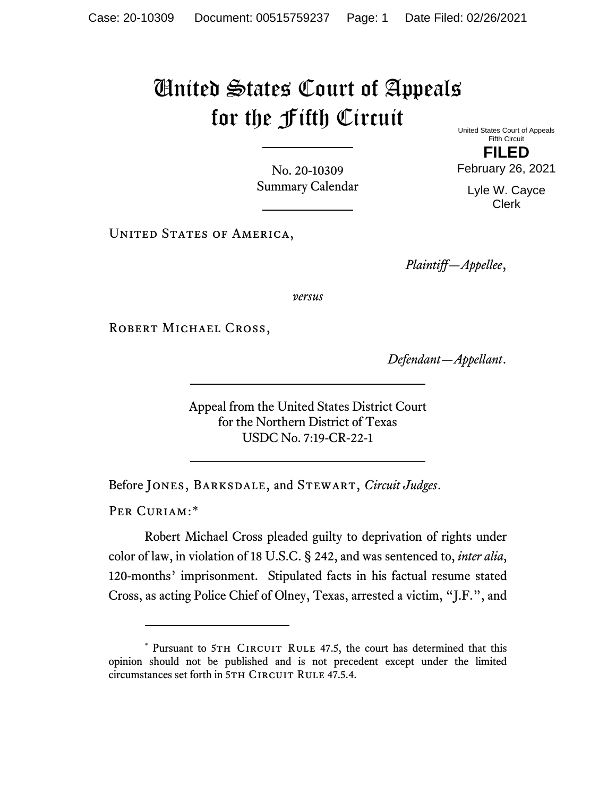## United States Court of Appeals for the Fifth Circuit

No. 20-10309 Summary Calendar

UNITED STATES OF AMERICA,

*Plaintiff—Appellee*,

*versus*

ROBERT MICHAEL CROSS,

*Defendant—Appellant*.

Appeal from the United States District Court for the Northern District of Texas USDC No. 7:19-CR-22-1

Before Jones, Barksdale, and Stewart, *Circuit Judges*.

PER CURIAM:[\\*](#page-0-0)

Robert Michael Cross pleaded guilty to deprivation of rights under color of law, in violation of 18 U.S.C. § 242, and was sentenced to, *inter alia*, 120-months' imprisonment. Stipulated facts in his factual resume stated Cross, as acting Police Chief of Olney, Texas, arrested a victim, "J.F.", and

United States Court of Appeals Fifth Circuit **FILED** February 26, 2021

Lyle W. Cayce Clerk

<span id="page-0-0"></span><sup>\*</sup> Pursuant to 5TH CIRCUIT RULE 47.5, the court has determined that this opinion should not be published and is not precedent except under the limited circumstances set forth in 5TH CIRCUIT RULE 47.5.4.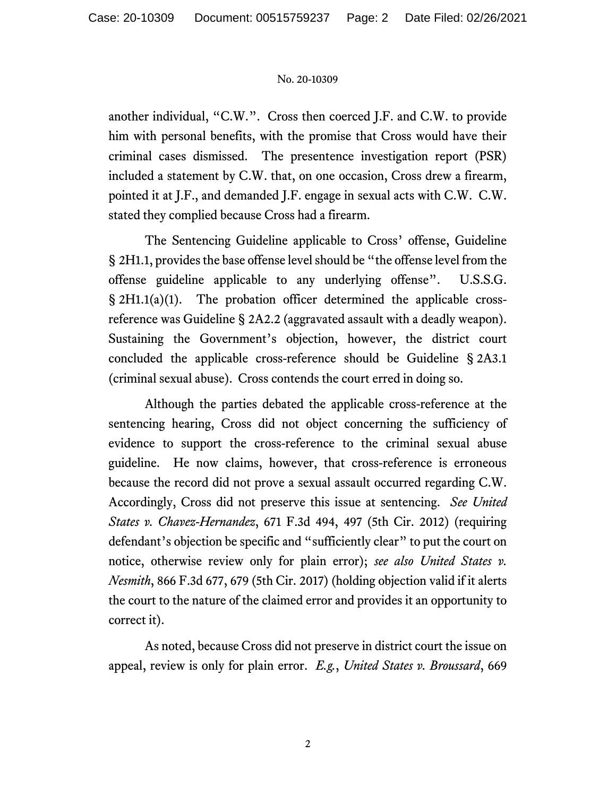## No. 20-10309

another individual, "C.W.". Cross then coerced J.F. and C.W. to provide him with personal benefits, with the promise that Cross would have their criminal cases dismissed. The presentence investigation report (PSR) included a statement by C.W. that, on one occasion, Cross drew a firearm, pointed it at J.F., and demanded J.F. engage in sexual acts with C.W. C.W. stated they complied because Cross had a firearm.

The Sentencing Guideline applicable to Cross' offense, Guideline § 2H1.1, provides the base offense level should be "the offense level from the offense guideline applicable to any underlying offense". U.S.S.G. § 2H1.1(a)(1). The probation officer determined the applicable crossreference was Guideline § 2A2.2 (aggravated assault with a deadly weapon). Sustaining the Government's objection, however, the district court concluded the applicable cross-reference should be Guideline § 2A3.1 (criminal sexual abuse). Cross contends the court erred in doing so.

Although the parties debated the applicable cross-reference at the sentencing hearing, Cross did not object concerning the sufficiency of evidence to support the cross-reference to the criminal sexual abuse guideline. He now claims, however, that cross-reference is erroneous because the record did not prove a sexual assault occurred regarding C.W. Accordingly, Cross did not preserve this issue at sentencing. *See United States v. Chavez-Hernandez*, 671 F.3d 494, 497 (5th Cir. 2012) (requiring defendant's objection be specific and "sufficiently clear" to put the court on notice, otherwise review only for plain error); *see also United States v. Nesmith*, 866 F.3d 677, 679 (5th Cir. 2017) (holding objection valid if it alerts the court to the nature of the claimed error and provides it an opportunity to correct it).

As noted, because Cross did not preserve in district court the issue on appeal, review is only for plain error. *E.g.*, *United States v. Broussard*, 669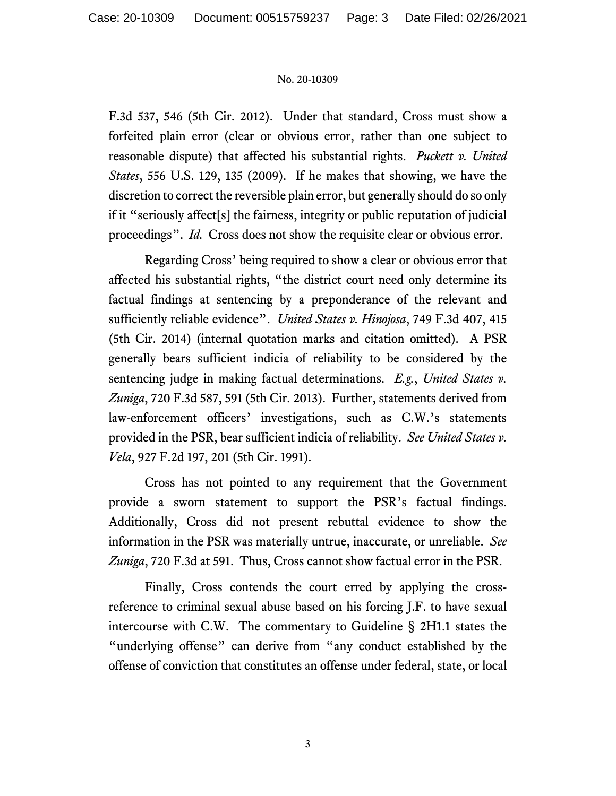## No. 20-10309

F.3d 537, 546 (5th Cir. 2012). Under that standard, Cross must show a forfeited plain error (clear or obvious error, rather than one subject to reasonable dispute) that affected his substantial rights. *Puckett v. United States*, 556 U.S. 129, 135 (2009). If he makes that showing, we have the discretion to correct the reversible plain error, but generally should do so only if it "seriously affect[s] the fairness, integrity or public reputation of judicial proceedings". *Id.* Cross does not show the requisite clear or obvious error.

Regarding Cross' being required to show a clear or obvious error that affected his substantial rights, "the district court need only determine its factual findings at sentencing by a preponderance of the relevant and sufficiently reliable evidence". *United States v. Hinojosa*, 749 F.3d 407, 415 (5th Cir. 2014) (internal quotation marks and citation omitted). A PSR generally bears sufficient indicia of reliability to be considered by the sentencing judge in making factual determinations. *E.g.*, *United States v. Zuniga*, 720 F.3d 587, 591 (5th Cir. 2013). Further, statements derived from law-enforcement officers' investigations, such as C.W.'s statements provided in the PSR, bear sufficient indicia of reliability. *See United States v. Vela*, 927 F.2d 197, 201 (5th Cir. 1991).

Cross has not pointed to any requirement that the Government provide a sworn statement to support the PSR's factual findings. Additionally, Cross did not present rebuttal evidence to show the information in the PSR was materially untrue, inaccurate, or unreliable. *See Zuniga*, 720 F.3d at 591. Thus, Cross cannot show factual error in the PSR.

Finally, Cross contends the court erred by applying the crossreference to criminal sexual abuse based on his forcing J.F. to have sexual intercourse with C.W. The commentary to Guideline § 2H1.1 states the "underlying offense" can derive from "any conduct established by the offense of conviction that constitutes an offense under federal, state, or local